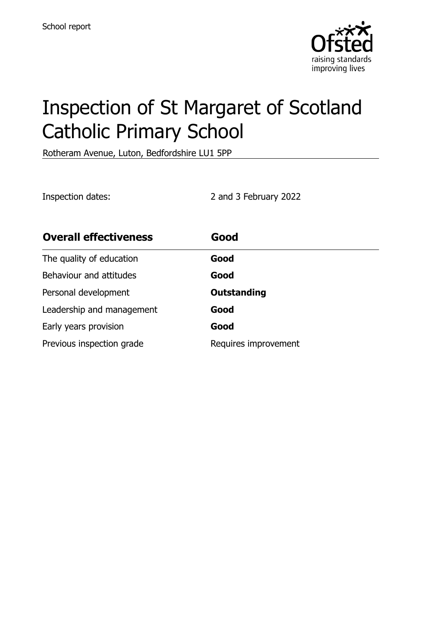

# Inspection of St Margaret of Scotland Catholic Primary School

Rotheram Avenue, Luton, Bedfordshire LU1 5PP

Inspection dates: 2 and 3 February 2022

| <b>Overall effectiveness</b> | Good                 |
|------------------------------|----------------------|
| The quality of education     | Good                 |
| Behaviour and attitudes      | Good                 |
| Personal development         | <b>Outstanding</b>   |
| Leadership and management    | Good                 |
| Early years provision        | Good                 |
| Previous inspection grade    | Requires improvement |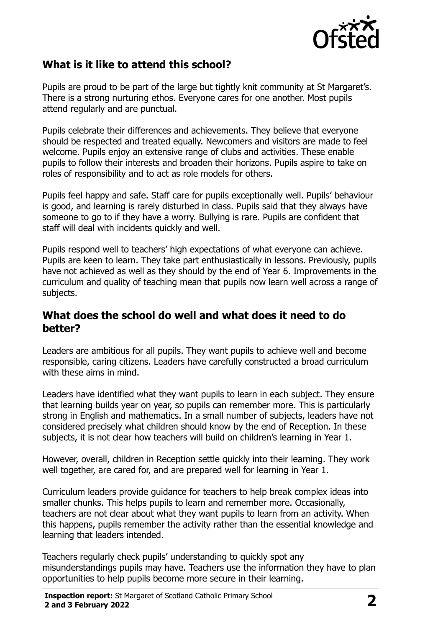

# **What is it like to attend this school?**

Pupils are proud to be part of the large but tightly knit community at St Margaret's. There is a strong nurturing ethos. Everyone cares for one another. Most pupils attend regularly and are punctual.

Pupils celebrate their differences and achievements. They believe that everyone should be respected and treated equally. Newcomers and visitors are made to feel welcome. Pupils enjoy an extensive range of clubs and activities. These enable pupils to follow their interests and broaden their horizons. Pupils aspire to take on roles of responsibility and to act as role models for others.

Pupils feel happy and safe. Staff care for pupils exceptionally well. Pupils' behaviour is good, and learning is rarely disturbed in class. Pupils said that they always have someone to go to if they have a worry. Bullying is rare. Pupils are confident that staff will deal with incidents quickly and well.

Pupils respond well to teachers' high expectations of what everyone can achieve. Pupils are keen to learn. They take part enthusiastically in lessons. Previously, pupils have not achieved as well as they should by the end of Year 6. Improvements in the curriculum and quality of teaching mean that pupils now learn well across a range of subjects.

#### **What does the school do well and what does it need to do better?**

Leaders are ambitious for all pupils. They want pupils to achieve well and become responsible, caring citizens. Leaders have carefully constructed a broad curriculum with these aims in mind.

Leaders have identified what they want pupils to learn in each subject. They ensure that learning builds year on year, so pupils can remember more. This is particularly strong in English and mathematics. In a small number of subjects, leaders have not considered precisely what children should know by the end of Reception. In these subjects, it is not clear how teachers will build on children's learning in Year 1.

However, overall, children in Reception settle quickly into their learning. They work well together, are cared for, and are prepared well for learning in Year 1.

Curriculum leaders provide guidance for teachers to help break complex ideas into smaller chunks. This helps pupils to learn and remember more. Occasionally, teachers are not clear about what they want pupils to learn from an activity. When this happens, pupils remember the activity rather than the essential knowledge and learning that leaders intended.

Teachers regularly check pupils' understanding to quickly spot any misunderstandings pupils may have. Teachers use the information they have to plan opportunities to help pupils become more secure in their learning.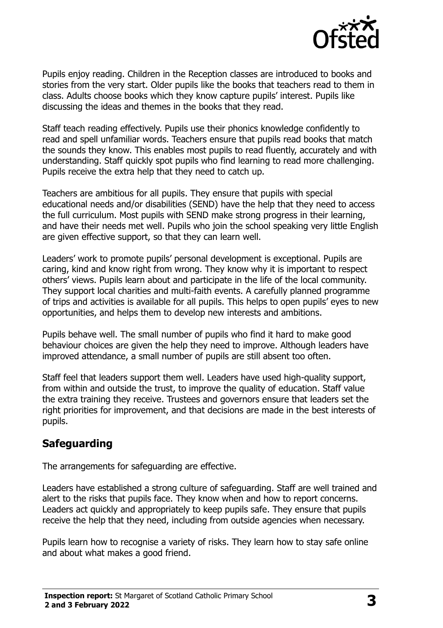

Pupils enjoy reading. Children in the Reception classes are introduced to books and stories from the very start. Older pupils like the books that teachers read to them in class. Adults choose books which they know capture pupils' interest. Pupils like discussing the ideas and themes in the books that they read.

Staff teach reading effectively. Pupils use their phonics knowledge confidently to read and spell unfamiliar words. Teachers ensure that pupils read books that match the sounds they know. This enables most pupils to read fluently, accurately and with understanding. Staff quickly spot pupils who find learning to read more challenging. Pupils receive the extra help that they need to catch up.

Teachers are ambitious for all pupils. They ensure that pupils with special educational needs and/or disabilities (SEND) have the help that they need to access the full curriculum. Most pupils with SEND make strong progress in their learning, and have their needs met well. Pupils who join the school speaking very little English are given effective support, so that they can learn well.

Leaders' work to promote pupils' personal development is exceptional. Pupils are caring, kind and know right from wrong. They know why it is important to respect others' views. Pupils learn about and participate in the life of the local community. They support local charities and multi-faith events. A carefully planned programme of trips and activities is available for all pupils. This helps to open pupils' eyes to new opportunities, and helps them to develop new interests and ambitions.

Pupils behave well. The small number of pupils who find it hard to make good behaviour choices are given the help they need to improve. Although leaders have improved attendance, a small number of pupils are still absent too often.

Staff feel that leaders support them well. Leaders have used high-quality support, from within and outside the trust, to improve the quality of education. Staff value the extra training they receive. Trustees and governors ensure that leaders set the right priorities for improvement, and that decisions are made in the best interests of pupils.

# **Safeguarding**

The arrangements for safeguarding are effective.

Leaders have established a strong culture of safeguarding. Staff are well trained and alert to the risks that pupils face. They know when and how to report concerns. Leaders act quickly and appropriately to keep pupils safe. They ensure that pupils receive the help that they need, including from outside agencies when necessary.

Pupils learn how to recognise a variety of risks. They learn how to stay safe online and about what makes a good friend.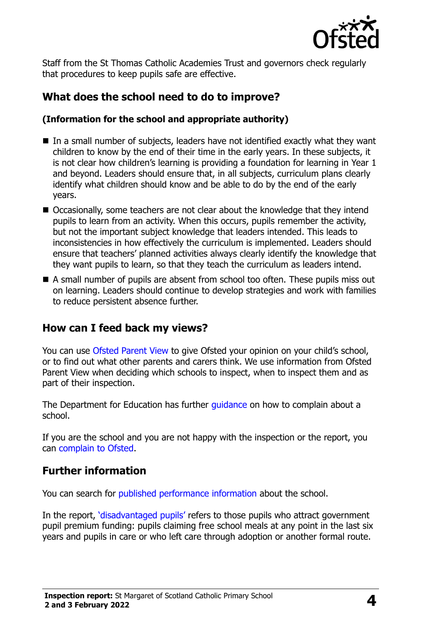

Staff from the St Thomas Catholic Academies Trust and governors check regularly that procedures to keep pupils safe are effective.

# **What does the school need to do to improve?**

#### **(Information for the school and appropriate authority)**

- $\blacksquare$  In a small number of subjects, leaders have not identified exactly what they want children to know by the end of their time in the early years. In these subjects, it is not clear how children's learning is providing a foundation for learning in Year 1 and beyond. Leaders should ensure that, in all subjects, curriculum plans clearly identify what children should know and be able to do by the end of the early years.
- Occasionally, some teachers are not clear about the knowledge that they intend pupils to learn from an activity. When this occurs, pupils remember the activity, but not the important subject knowledge that leaders intended. This leads to inconsistencies in how effectively the curriculum is implemented. Leaders should ensure that teachers' planned activities always clearly identify the knowledge that they want pupils to learn, so that they teach the curriculum as leaders intend.
- A small number of pupils are absent from school too often. These pupils miss out on learning. Leaders should continue to develop strategies and work with families to reduce persistent absence further.

# **How can I feed back my views?**

You can use [Ofsted Parent View](http://parentview.ofsted.gov.uk/) to give Ofsted your opinion on your child's school, or to find out what other parents and carers think. We use information from Ofsted Parent View when deciding which schools to inspect, when to inspect them and as part of their inspection.

The Department for Education has further quidance on how to complain about a school.

If you are the school and you are not happy with the inspection or the report, you can [complain to Ofsted.](http://www.gov.uk/complain-ofsted-report)

#### **Further information**

You can search for [published performance information](http://www.compare-school-performance.service.gov.uk/) about the school.

In the report, '[disadvantaged pupils](http://www.gov.uk/guidance/pupil-premium-information-for-schools-and-alternative-provision-settings)' refers to those pupils who attract government pupil premium funding: pupils claiming free school meals at any point in the last six years and pupils in care or who left care through adoption or another formal route.

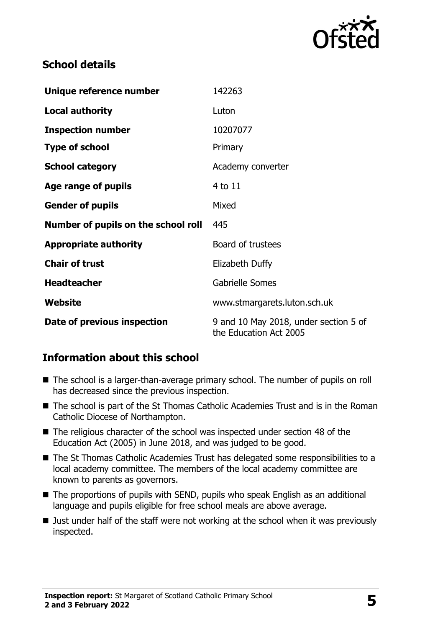

# **School details**

| Unique reference number             | 142263                                                          |
|-------------------------------------|-----------------------------------------------------------------|
| <b>Local authority</b>              | Luton                                                           |
| <b>Inspection number</b>            | 10207077                                                        |
| <b>Type of school</b>               | Primary                                                         |
| <b>School category</b>              | Academy converter                                               |
| Age range of pupils                 | 4 to 11                                                         |
| <b>Gender of pupils</b>             | Mixed                                                           |
| Number of pupils on the school roll | 445                                                             |
| <b>Appropriate authority</b>        | Board of trustees                                               |
| <b>Chair of trust</b>               | Elizabeth Duffy                                                 |
| <b>Headteacher</b>                  | <b>Gabrielle Somes</b>                                          |
| Website                             | www.stmargarets.luton.sch.uk                                    |
| Date of previous inspection         | 9 and 10 May 2018, under section 5 of<br>the Education Act 2005 |

# **Information about this school**

- The school is a larger-than-average primary school. The number of pupils on roll has decreased since the previous inspection.
- The school is part of the St Thomas Catholic Academies Trust and is in the Roman Catholic Diocese of Northampton.
- The religious character of the school was inspected under section 48 of the Education Act (2005) in June 2018, and was judged to be good.
- The St Thomas Catholic Academies Trust has delegated some responsibilities to a local academy committee. The members of the local academy committee are known to parents as governors.
- The proportions of pupils with SEND, pupils who speak English as an additional language and pupils eligible for free school meals are above average.
- I Just under half of the staff were not working at the school when it was previously inspected.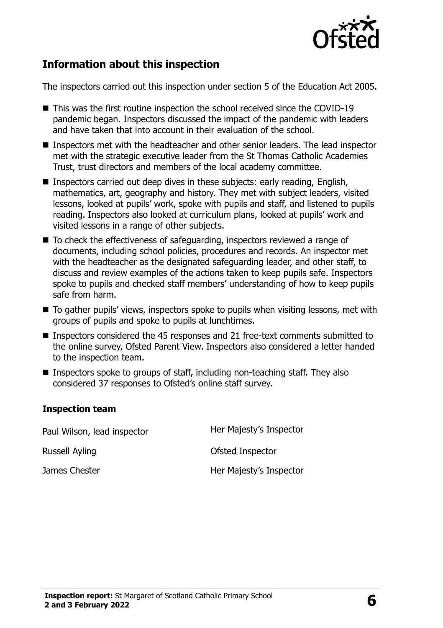

#### **Information about this inspection**

The inspectors carried out this inspection under section 5 of the Education Act 2005.

- This was the first routine inspection the school received since the COVID-19 pandemic began. Inspectors discussed the impact of the pandemic with leaders and have taken that into account in their evaluation of the school.
- $\blacksquare$  Inspectors met with the headteacher and other senior leaders. The lead inspector met with the strategic executive leader from the St Thomas Catholic Academies Trust, trust directors and members of the local academy committee.
- Inspectors carried out deep dives in these subjects: early reading, English, mathematics, art, geography and history. They met with subject leaders, visited lessons, looked at pupils' work, spoke with pupils and staff, and listened to pupils reading. Inspectors also looked at curriculum plans, looked at pupils' work and visited lessons in a range of other subjects.
- To check the effectiveness of safeguarding, inspectors reviewed a range of documents, including school policies, procedures and records. An inspector met with the headteacher as the designated safeguarding leader, and other staff, to discuss and review examples of the actions taken to keep pupils safe. Inspectors spoke to pupils and checked staff members' understanding of how to keep pupils safe from harm.
- To gather pupils' views, inspectors spoke to pupils when visiting lessons, met with groups of pupils and spoke to pupils at lunchtimes.
- Inspectors considered the 45 responses and 21 free-text comments submitted to the online survey, Ofsted Parent View. Inspectors also considered a letter handed to the inspection team.
- Inspectors spoke to groups of staff, including non-teaching staff. They also considered 37 responses to Ofsted's online staff survey.

#### **Inspection team**

Paul Wilson, lead inspector **Her Majesty's Inspector** Russell Ayling **Calculation Contract Contract Contract Contract Contract Contract Contract Contract Contract Contract Contract Contract Contract Contract Contract Contract Contract Contract Contract Contract Contract Contr** James Chester **Her Majesty's Inspector**